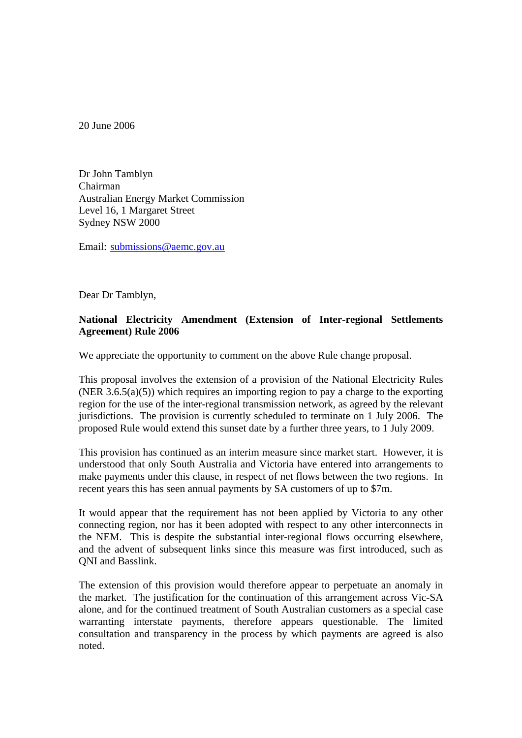20 June 2006

Dr John Tamblyn Chairman Australian Energy Market Commission Level 16, 1 Margaret Street Sydney NSW 2000

Email: [submissions@aemc.gov.au](mailto:submissions@aemc.gov.au)

Dear Dr Tamblyn,

## **National Electricity Amendment (Extension of Inter-regional Settlements Agreement) Rule 2006**

We appreciate the opportunity to comment on the above Rule change proposal.

This proposal involves the extension of a provision of the National Electricity Rules (NER 3.6.5(a)(5)) which requires an importing region to pay a charge to the exporting region for the use of the inter-regional transmission network, as agreed by the relevant jurisdictions. The provision is currently scheduled to terminate on 1 July 2006. The proposed Rule would extend this sunset date by a further three years, to 1 July 2009.

This provision has continued as an interim measure since market start. However, it is understood that only South Australia and Victoria have entered into arrangements to make payments under this clause, in respect of net flows between the two regions. In recent years this has seen annual payments by SA customers of up to \$7m.

It would appear that the requirement has not been applied by Victoria to any other connecting region, nor has it been adopted with respect to any other interconnects in the NEM. This is despite the substantial inter-regional flows occurring elsewhere, and the advent of subsequent links since this measure was first introduced, such as QNI and Basslink.

The extension of this provision would therefore appear to perpetuate an anomaly in the market. The justification for the continuation of this arrangement across Vic-SA alone, and for the continued treatment of South Australian customers as a special case warranting interstate payments, therefore appears questionable. The limited consultation and transparency in the process by which payments are agreed is also noted.